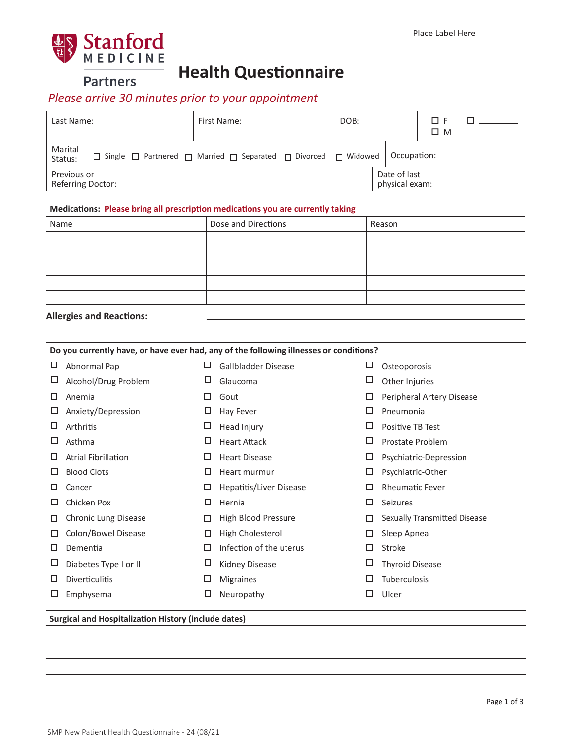

**Partners** 

## **Health Questionnaire**

## *Please arrive 30 minutes prior to your appointment*

| Last Name:                                                                                                          | First Name: | DOB:        |                                | ΠМ |  |
|---------------------------------------------------------------------------------------------------------------------|-------------|-------------|--------------------------------|----|--|
| Marital<br>$\Box$ Single $\Box$ Partnered $\Box$ Married $\Box$ Separated $\Box$ Divorced $\Box$ Widowed<br>Status: |             | Occupation: |                                |    |  |
| Previous or<br>Referring Doctor:                                                                                    |             |             | Date of last<br>physical exam: |    |  |

| Medications: Please bring all prescription medications you are currently taking |                     |        |  |  |  |  |  |  |  |  |
|---------------------------------------------------------------------------------|---------------------|--------|--|--|--|--|--|--|--|--|
| Name                                                                            | Dose and Directions | Reason |  |  |  |  |  |  |  |  |
|                                                                                 |                     |        |  |  |  |  |  |  |  |  |
|                                                                                 |                     |        |  |  |  |  |  |  |  |  |
|                                                                                 |                     |        |  |  |  |  |  |  |  |  |
|                                                                                 |                     |        |  |  |  |  |  |  |  |  |
|                                                                                 |                     |        |  |  |  |  |  |  |  |  |

|  |  | <b>Allergies and Reactions:</b> |
|--|--|---------------------------------|
|--|--|---------------------------------|

| Do you currently have, or have ever had, any of the following illnesses or conditions? |                                                             |   |                            |   |                              |  |  |  |  |  |
|----------------------------------------------------------------------------------------|-------------------------------------------------------------|---|----------------------------|---|------------------------------|--|--|--|--|--|
| □                                                                                      | Abnormal Pap                                                | □ | Gallbladder Disease        | □ | Osteoporosis                 |  |  |  |  |  |
| □                                                                                      | Alcohol/Drug Problem                                        | □ | Glaucoma                   | □ | Other Injuries               |  |  |  |  |  |
| □                                                                                      | Anemia                                                      | П | Gout                       | □ | Peripheral Artery Disease    |  |  |  |  |  |
| □                                                                                      | Anxiety/Depression                                          | □ | Hay Fever                  | □ | Pneumonia                    |  |  |  |  |  |
| □                                                                                      | Arthritis                                                   | □ | Head Injury                | □ | Positive TB Test             |  |  |  |  |  |
| □                                                                                      | Asthma                                                      | □ | <b>Heart Attack</b>        | □ | Prostate Problem             |  |  |  |  |  |
| □                                                                                      | <b>Atrial Fibrillation</b>                                  | □ | <b>Heart Disease</b>       | □ | Psychiatric-Depression       |  |  |  |  |  |
| □                                                                                      | <b>Blood Clots</b>                                          | □ | Heart murmur               | □ | Psychiatric-Other            |  |  |  |  |  |
| □                                                                                      | Cancer                                                      | □ | Hepatitis/Liver Disease    | □ | <b>Rheumatic Fever</b>       |  |  |  |  |  |
| □                                                                                      | Chicken Pox                                                 | □ | Hernia                     | □ | Seizures                     |  |  |  |  |  |
| □                                                                                      | <b>Chronic Lung Disease</b>                                 | П | <b>High Blood Pressure</b> |   | Sexually Transmitted Disease |  |  |  |  |  |
| □                                                                                      | Colon/Bowel Disease                                         | □ | High Cholesterol           | □ | Sleep Apnea                  |  |  |  |  |  |
| □                                                                                      | Dementia                                                    | □ | Infection of the uterus    | □ | Stroke                       |  |  |  |  |  |
| □                                                                                      | Diabetes Type I or II                                       | ப | <b>Kidney Disease</b>      | □ | <b>Thyroid Disease</b>       |  |  |  |  |  |
| □                                                                                      | <b>Diverticulitis</b>                                       | □ | <b>Migraines</b>           | □ | Tuberculosis                 |  |  |  |  |  |
| □                                                                                      | Emphysema                                                   | ◻ | Neuropathy                 | ◻ | Ulcer                        |  |  |  |  |  |
|                                                                                        | <b>Surgical and Hospitalization History (include dates)</b> |   |                            |   |                              |  |  |  |  |  |
|                                                                                        |                                                             |   |                            |   |                              |  |  |  |  |  |
|                                                                                        |                                                             |   |                            |   |                              |  |  |  |  |  |
|                                                                                        |                                                             |   |                            |   |                              |  |  |  |  |  |
|                                                                                        |                                                             |   |                            |   |                              |  |  |  |  |  |
|                                                                                        |                                                             |   |                            |   |                              |  |  |  |  |  |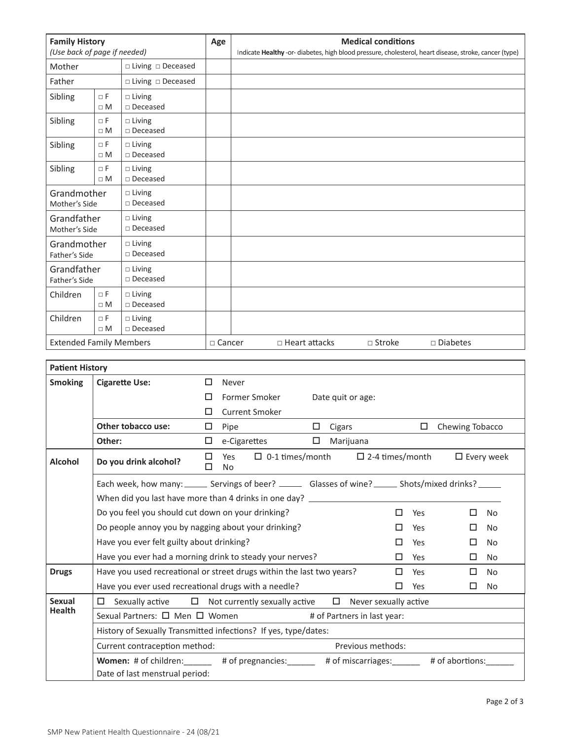| <b>Family History</b><br>(Use back of page if needed)                     |                        | Age                                    | <b>Medical conditions</b><br>Indicate Healthy -or- diabetes, high blood pressure, cholesterol, heart disease, stroke, cancer (type) |                                                             |
|---------------------------------------------------------------------------|------------------------|----------------------------------------|-------------------------------------------------------------------------------------------------------------------------------------|-------------------------------------------------------------|
|                                                                           |                        |                                        |                                                                                                                                     |                                                             |
| $\Box$ Living $\Box$ Deceased<br>Mother                                   |                        |                                        |                                                                                                                                     |                                                             |
| Father                                                                    |                        | $\Box$ Living $\Box$ Deceased          |                                                                                                                                     |                                                             |
| Sibling<br>$\Box F$<br>$\square$ Living<br>$\square$ Deceased<br>$\Box M$ |                        |                                        |                                                                                                                                     |                                                             |
| Sibling                                                                   | $\sqcap$ F<br>$\Box M$ | $\square$ Living<br>$\square$ Deceased |                                                                                                                                     |                                                             |
| Sibling                                                                   | $\Box$ F<br>$\Box M$   | $\Box$ Living<br>$\square$ Deceased    |                                                                                                                                     |                                                             |
| $\Box$ F<br>Sibling<br>$\square$ Living<br>□ Deceased<br>$\Box M$         |                        |                                        |                                                                                                                                     |                                                             |
| Grandmother<br>Mother's Side                                              |                        | $\Box$ Living<br>$\square$ Deceased    |                                                                                                                                     |                                                             |
| Grandfather<br>Mother's Side                                              |                        | $\Box$ Living<br>□ Deceased            |                                                                                                                                     |                                                             |
| Grandmother<br>Father's Side                                              |                        | $\Box$ Living<br>□ Deceased            |                                                                                                                                     |                                                             |
| Grandfather<br>Father's Side                                              |                        | $\square$ Living<br>□ Deceased         |                                                                                                                                     |                                                             |
| Children                                                                  | $\Box$ F<br>$\Box M$   | $\square$ Living<br>□ Deceased         |                                                                                                                                     |                                                             |
| Children                                                                  | $\Box$ F<br>$\Box M$   | $\Box$ Living<br>□ Deceased            |                                                                                                                                     |                                                             |
| <b>Extended Family Members</b>                                            |                        |                                        | $\Box$ Cancer                                                                                                                       | $\Box$ Stroke<br>$\square$ Diabetes<br>$\Box$ Heart attacks |

| <b>Patient History</b> |                                                                                                              |        |                                                                        |        |        |                              |   |     |                 |                      |
|------------------------|--------------------------------------------------------------------------------------------------------------|--------|------------------------------------------------------------------------|--------|--------|------------------------------|---|-----|-----------------|----------------------|
| <b>Smoking</b>         | <b>Cigarette Use:</b>                                                                                        | □      | Never                                                                  |        |        |                              |   |     |                 |                      |
|                        |                                                                                                              | П      | Former Smoker                                                          |        |        | Date quit or age:            |   |     |                 |                      |
|                        |                                                                                                              | п      | <b>Current Smoker</b>                                                  |        |        |                              |   |     |                 |                      |
|                        | Other tobacco use:                                                                                           | 0      | Pipe                                                                   | $\Box$ | Cigars |                              |   | □   | Chewing Tobacco |                      |
|                        | Other:                                                                                                       |        | e-Cigarettes                                                           |        |        | Marijuana                    |   |     |                 |                      |
| <b>Alcohol</b>         | Do you drink alcohol?                                                                                        | п<br>п | $\Box$ 0-1 times/month $\Box$ 2-4 times/month<br>Yes<br>N <sub>o</sub> |        |        |                              |   |     |                 | $\square$ Every week |
|                        | Each week, how many: ______ Servings of beer? _______ Glasses of wine? _____ Shots/mixed drinks? _____       |        |                                                                        |        |        |                              |   |     |                 |                      |
|                        | When did you last have more than 4 drinks in one day? __________________________                             |        |                                                                        |        |        |                              |   |     |                 |                      |
|                        | Do you feel you should cut down on your drinking?                                                            |        |                                                                        |        |        |                              |   | Yes | п               | N <sub>0</sub>       |
|                        | Do people annoy you by nagging about your drinking?                                                          |        |                                                                        |        |        |                              |   | Yes | □               | No.                  |
|                        | Have you ever felt guilty about drinking?                                                                    |        |                                                                        |        |        |                              | П | Yes | □               | <b>No</b>            |
|                        | Have you ever had a morning drink to steady your nerves?                                                     |        |                                                                        |        |        |                              | □ | Yes | □               | No.                  |
| <b>Drugs</b>           | Have you used recreational or street drugs within the last two years?                                        |        |                                                                        |        |        |                              | □ | Yes | □               | <b>No</b>            |
|                        | Have you ever used recreational drugs with a needle?                                                         |        |                                                                        |        |        |                              | □ | Yes | □               | No                   |
| <b>Sexual</b>          | Sexually active $\Box$ Not currently sexually active                                                         |        |                                                                        |        |        | $\Box$ Never sexually active |   |     |                 |                      |
| <b>Health</b>          | Sexual Partners: □ Men □ Women                                                                               |        |                                                                        |        |        | # of Partners in last year:  |   |     |                 |                      |
|                        | History of Sexually Transmitted infections? If yes, type/dates:                                              |        |                                                                        |        |        |                              |   |     |                 |                      |
|                        | Current contraception method:                                                                                |        |                                                                        |        |        | Previous methods:            |   |     |                 |                      |
|                        | Women: # of children: # of pregnancies: # of miscarriages: # of abortions:<br>Date of last menstrual period: |        |                                                                        |        |        |                              |   |     |                 |                      |